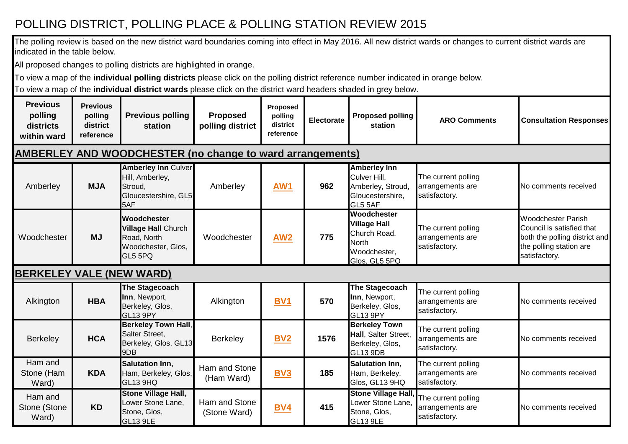## POLLING DISTRICT, POLLING PLACE & POLLING STATION REVIEW 2015

The polling review is based on the new district ward boundaries coming into effect in May 2016. All new district wards or changes to current district wards are indicated in the table below.

All proposed changes to polling districts are highlighted in orange.

To view a map of the **individual polling districts** please click on the polling district reference number indicated in orange below.

To view a map of the **individual district wards** please click on the district ward headers shaded in grey below.

| <b>Previous</b><br>polling<br>districts<br>within ward | <b>Previous</b><br>polling<br>district<br>reference | <b>Previous polling</b><br>station                                                               | <b>Proposed</b><br>polling district | Proposed<br>polling<br>district<br>reference | Electorate | <b>Proposed polling</b><br>station                                                                  | <b>ARO Comments</b>                                      | <b>Consultation Responses</b>                                                                                                       |
|--------------------------------------------------------|-----------------------------------------------------|--------------------------------------------------------------------------------------------------|-------------------------------------|----------------------------------------------|------------|-----------------------------------------------------------------------------------------------------|----------------------------------------------------------|-------------------------------------------------------------------------------------------------------------------------------------|
|                                                        |                                                     | <b>AMBERLEY AND WOODCHESTER (no change to ward arrangements)</b>                                 |                                     |                                              |            |                                                                                                     |                                                          |                                                                                                                                     |
| Amberley                                               | <b>MJA</b>                                          | <b>Amberley Inn Culver</b><br>Hill, Amberley,<br>Stroud,<br>Gloucestershire, GL5<br>5AF          | Amberley                            | <b>AW1</b>                                   | 962        | <b>Amberley Inn</b><br>Culver Hill,<br>Amberley, Stroud,<br>Gloucestershire,<br>GL5 5AF             | The current polling<br>arrangements are<br>satisfactory. | No comments received                                                                                                                |
| Woodchester                                            | <b>MJ</b>                                           | <b>Woodchester</b><br><b>Village Hall Church</b><br>Road, North<br>Woodchester, Glos,<br>GL5 5PQ | Woodchester                         | <b>AW2</b>                                   | 775        | Woodchester<br><b>Village Hall</b><br>Church Road,<br><b>North</b><br>Woodchester,<br>Glos, GL5 5PQ | The current polling<br>arrangements are<br>satisfactory. | <b>Woodchester Parish</b><br>Council is satisfied that<br>both the polling district and<br>the polling station are<br>satisfactory. |
| <b>BERKELEY VALE (NEW WARD)</b>                        |                                                     |                                                                                                  |                                     |                                              |            |                                                                                                     |                                                          |                                                                                                                                     |
| Alkington                                              | <b>HBA</b>                                          | The Stagecoach<br>Inn, Newport,<br>Berkeley, Glos,<br>GL13 9PY                                   | Alkington                           | BV <sub>1</sub>                              | 570        | <b>The Stagecoach</b><br>Inn, Newport,<br>Berkeley, Glos,<br><b>GL13 9PY</b>                        | The current polling<br>arrangements are<br>satisfactory. | No comments received                                                                                                                |
| <b>Berkeley</b>                                        | <b>HCA</b>                                          | <b>Berkeley Town Hall,</b><br>Salter Street,<br>Berkeley, Glos, GL13<br>9DB                      | Berkeley                            | <b>BV2</b>                                   | 1576       | <b>Berkeley Town</b><br>Hall, Salter Street,<br>Berkeley, Glos,<br>GL13 9DB                         | The current polling<br>arrangements are<br>satisfactory. | No comments received                                                                                                                |
| Ham and<br>Stone (Ham<br>Ward)                         | <b>KDA</b>                                          | <b>Salutation Inn,</b><br>Ham, Berkeley, Glos,<br><b>GL13 9HQ</b>                                | Ham and Stone<br>(Ham Ward)         | BV <sub>3</sub>                              | 185        | <b>Salutation Inn.</b><br>Ham, Berkeley,<br>Glos, GL13 9HQ                                          | The current polling<br>arrangements are<br>satisfactory. | No comments received                                                                                                                |
| Ham and<br>Stone (Stone<br>Ward)                       | <b>KD</b>                                           | <b>Stone Village Hall,</b><br>Lower Stone Lane,<br>Stone, Glos,<br><b>GL13 9LE</b>               | Ham and Stone<br>(Stone Ward)       | <b>BV4</b>                                   | 415        | <b>Stone Village Hall,</b><br>Lower Stone Lane,<br>Stone, Glos,<br>GL13 9LE                         | The current polling<br>arrangements are<br>satisfactory. | No comments received                                                                                                                |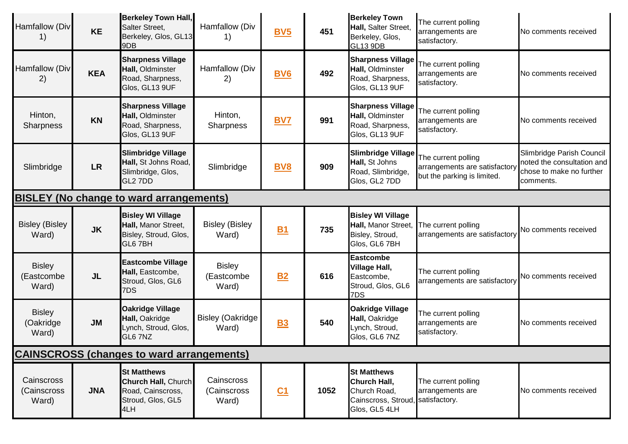| Hamfallow (Div<br>1)                           | <b>KE</b>  | <b>Berkeley Town Hall,</b><br>Salter Street,<br>Berkeley, Glos, GL13<br>9DB                       | Hamfallow (Div<br>1)                 | <b>BV5</b>     | 451  | <b>Berkeley Town</b><br>Hall, Salter Street,<br>Berkeley, Glos,<br>GL13 9DB                              | The current polling<br>arrangements are<br>satisfactory.                            | No comments received                                                                             |  |
|------------------------------------------------|------------|---------------------------------------------------------------------------------------------------|--------------------------------------|----------------|------|----------------------------------------------------------------------------------------------------------|-------------------------------------------------------------------------------------|--------------------------------------------------------------------------------------------------|--|
| Hamfallow (Div<br>2)                           | <b>KEA</b> | <b>Sharpness Village</b><br>Hall, Oldminster<br>Road, Sharpness,<br>Glos, GL13 9UF                | Hamfallow (Div<br>2)                 | <b>BV6</b>     | 492  | <b>Sharpness Village</b><br>Hall, Oldminster<br>Road, Sharpness,<br>Glos, GL13 9UF                       | The current polling<br>arrangements are<br>satisfactory.                            | No comments received                                                                             |  |
| Hinton,<br><b>Sharpness</b>                    | <b>KN</b>  | <b>Sharpness Village</b><br>Hall, Oldminster<br>Road, Sharpness,<br>Glos, GL13 9UF                | Hinton,<br>Sharpness                 | <b>BV7</b>     | 991  | <b>Sharpness Village</b><br>Hall, Oldminster<br>Road, Sharpness,<br>Glos, GL13 9UF                       | The current polling<br>arrangements are<br>satisfactory.                            | No comments received                                                                             |  |
| Slimbridge                                     | <b>LR</b>  | <b>Slimbridge Village</b><br>Hall, St Johns Road,<br>Slimbridge, Glos,<br>GL2 7DD                 | Slimbridge                           | <b>BV8</b>     | 909  | <b>Slimbridge Village</b><br>Hall, St Johns<br>Road, Slimbridge,<br>Glos, GL2 7DD                        | The current polling<br>arrangements are satisfactory<br>but the parking is limited. | Slimbridge Parish Council<br>noted the consultation and<br>chose to make no further<br>comments. |  |
| <b>BISLEY (No change to ward arrangements)</b> |            |                                                                                                   |                                      |                |      |                                                                                                          |                                                                                     |                                                                                                  |  |
| <b>Bisley (Bisley</b><br>Ward)                 | <b>JK</b>  | <b>Bisley WI Village</b><br>Hall, Manor Street,<br>Bisley, Stroud, Glos,<br>GL6 7BH               | <b>Bisley (Bisley</b><br>Ward)       | <b>B1</b>      | 735  | <b>Bisley WI Village</b><br>Hall, Manor Street,<br>Bisley, Stroud,<br>Glos, GL6 7BH                      | The current polling<br>arrangements are satisfactory                                | <b>No comments received</b>                                                                      |  |
| <b>Bisley</b><br>(Eastcombe<br>Ward)           | <b>JL</b>  | <b>Eastcombe Village</b><br>Hall, Eastcombe,<br>Stroud, Glos, GL6<br>7DS                          | <b>Bisley</b><br>(Eastcombe<br>Ward) | <b>B2</b>      | 616  | <b>Eastcombe</b><br><b>Village Hall,</b><br>Eastcombe,<br>Stroud, Glos, GL6<br>7DS                       | The current polling<br>arrangements are satisfactory                                | <b>No comments received</b>                                                                      |  |
| <b>Bisley</b><br>(Oakridge<br>Ward)            | <b>JM</b>  | <b>Oakridge Village</b><br>Hall, Oakridge<br>Lynch, Stroud, Glos,<br>GL6 7NZ                      | <b>Bisley (Oakridge</b><br>Ward)     | <b>B3</b>      | 540  | <b>Oakridge Village</b><br>Hall, Oakridge<br>Lynch, Stroud,<br>Glos, GL6 7NZ                             | The current polling<br>arrangements are<br>satisfactory.                            | No comments received                                                                             |  |
|                                                |            | <b>CAINSCROSS (changes to ward arrangements)</b>                                                  |                                      |                |      |                                                                                                          |                                                                                     |                                                                                                  |  |
| Cainscross<br>(Cainscross<br>Ward)             | <b>JNA</b> | <b>St Matthews</b><br><b>Church Hall, Church</b><br>Road, Cainscross,<br>Stroud, Glos, GL5<br>4LH | Cainscross<br>(Cainscross<br>Ward)   | C <sub>1</sub> | 1052 | <b>St Matthews</b><br>Church Hall,<br>Church Road,<br>Cainscross, Stroud, satisfactory.<br>Glos, GL5 4LH | The current polling<br>arrangements are                                             | No comments received                                                                             |  |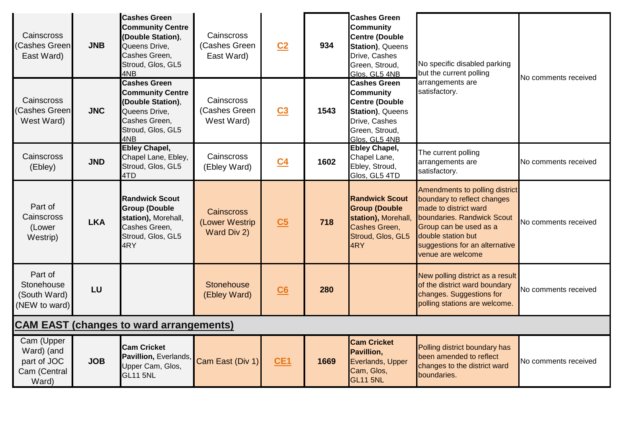| Cainscross<br>Cashes Green<br>East Ward)                         | <b>JNB</b> | <b>Cashes Green</b><br><b>Community Centre</b><br>(Double Station),<br>Queens Drive,<br>Cashes Green,<br>Stroud, Glos, GL5<br>4NB | Cainscross<br>(Cashes Green<br>East Ward)          | C <sub>2</sub> | 934  | <b>Cashes Green</b><br><b>Community</b><br><b>Centre (Double</b><br>Station), Queens<br>Drive, Cashes<br>Green, Stroud,<br>Glos, GL5 4NB | No specific disabled parking<br>but the current polling                                                                                                                                                                     |                      |
|------------------------------------------------------------------|------------|-----------------------------------------------------------------------------------------------------------------------------------|----------------------------------------------------|----------------|------|------------------------------------------------------------------------------------------------------------------------------------------|-----------------------------------------------------------------------------------------------------------------------------------------------------------------------------------------------------------------------------|----------------------|
| Cainscross<br>Cashes Green<br>West Ward)                         | <b>JNC</b> | <b>Cashes Green</b><br><b>Community Centre</b><br>(Double Station),<br>Queens Drive,<br>Cashes Green,<br>Stroud, Glos, GL5<br>4NB | Cainscross<br>(Cashes Green<br>West Ward)          | C <sub>3</sub> | 1543 | <b>Cashes Green</b><br><b>Community</b><br><b>Centre (Double</b><br>Station), Queens<br>Drive, Cashes<br>Green, Stroud,<br>Glos. GL5 4NB | arrangements are<br>satisfactory.                                                                                                                                                                                           | No comments received |
| Cainscross<br>(Ebley)                                            | <b>JND</b> | <b>Ebley Chapel,</b><br>Chapel Lane, Ebley,<br>Stroud, Glos, GL5<br>4TD                                                           | Cainscross<br>(Ebley Ward)                         | C <sub>4</sub> | 1602 | <b>Ebley Chapel,</b><br>Chapel Lane,<br>Ebley, Stroud,<br>Glos, GL5 4TD                                                                  | The current polling<br>arrangements are<br>satisfactory.                                                                                                                                                                    | No comments received |
| Part of<br>Cainscross<br>(Lower<br>Westrip)                      | <b>LKA</b> | <b>Randwick Scout</b><br><b>Group (Double</b><br>station), Morehall,<br>Cashes Green,<br>Stroud, Glos, GL5<br>4RY                 | <b>Cainscross</b><br>(Lower Westrip<br>Ward Div 2) | C <sub>5</sub> | 718  | <b>Randwick Scout</b><br><b>Group (Double</b><br>station), Morehall,<br>Cashes Green,<br>Stroud, Glos, GL5<br>4RY                        | Amendments to polling district<br>boundary to reflect changes<br>made to district ward<br>boundaries. Randwick Scout<br>Group can be used as a<br>double station but<br>suggestions for an alternative<br>venue are welcome | No comments received |
| Part of<br>Stonehouse<br>(South Ward)<br>(NEW to ward)           | LU         |                                                                                                                                   | <b>Stonehouse</b><br>(Ebley Ward)                  | C6             | 280  |                                                                                                                                          | New polling district as a result<br>of the district ward boundary<br>changes. Suggestions for<br>polling stations are welcome.                                                                                              | No comments received |
| <b>CAM EAST (changes to ward arrangements)</b>                   |            |                                                                                                                                   |                                                    |                |      |                                                                                                                                          |                                                                                                                                                                                                                             |                      |
| Cam (Upper<br>Ward) (and<br>part of JOC<br>Cam (Central<br>Ward) | <b>JOB</b> | <b>Cam Cricket</b><br>Pavillion, Everlands,<br>Upper Cam, Glos,<br><b>GL11 5NL</b>                                                | Cam East (Div 1)                                   | CE1            | 1669 | <b>Cam Cricket</b><br>Pavillion,<br>Everlands, Upper<br>Cam, Glos,<br><b>GL11 5NL</b>                                                    | Polling district boundary has<br>been amended to reflect<br>changes to the district ward<br>boundaries.                                                                                                                     | No comments received |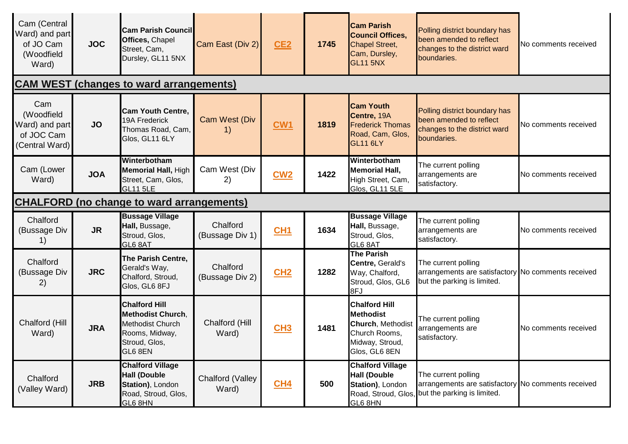| Cam (Central<br>Ward) and part<br>of JO Cam<br>(Woodfield<br>Ward)  | <b>JOC</b> | <b>Cam Parish Council</b><br>Offices, Chapel<br>Street, Cam,<br>Dursley, GL11 5NX                                  | Cam East (Div 2)            | CE2             | 1745 | <b>Cam Parish</b><br><b>Council Offices,</b><br><b>Chapel Street,</b><br>Cam, Dursley,<br><b>GL11 5NX</b>          | Polling district boundary has<br>been amended to reflect<br>changes to the district ward<br>boundaries.                      | No comments received |  |
|---------------------------------------------------------------------|------------|--------------------------------------------------------------------------------------------------------------------|-----------------------------|-----------------|------|--------------------------------------------------------------------------------------------------------------------|------------------------------------------------------------------------------------------------------------------------------|----------------------|--|
|                                                                     |            | <b>CAM WEST (changes to ward arrangements)</b>                                                                     |                             |                 |      |                                                                                                                    |                                                                                                                              |                      |  |
| Cam<br>(Woodfield<br>Ward) and part<br>of JOC Cam<br>(Central Ward) | <b>JO</b>  | <b>Cam Youth Centre.</b><br>19A Frederick<br>Thomas Road, Cam,<br>Glos, GL11 6LY                                   | Cam West (Div               | C <sub>W1</sub> | 1819 | <b>Cam Youth</b><br>Centre, 19A<br><b>Frederick Thomas</b><br>Road, Cam, Glos,<br><b>GL11 6LY</b>                  | Polling district boundary has<br>been amended to reflect<br>changes to the district ward<br>boundaries.                      | No comments received |  |
| Cam (Lower<br>Ward)                                                 | <b>JOA</b> | Winterbotham<br><b>Memorial Hall, High</b><br>Street, Cam, Glos,<br><b>GL11 5LE</b>                                | Cam West (Div<br>2)         | CW2             | 1422 | Winterbotham<br><b>Memorial Hall,</b><br>High Street, Cam,<br>Glos, GL11 5LE                                       | The current polling<br>arrangements are<br>satisfactory.                                                                     | No comments received |  |
| <b>CHALFORD (no change to ward arrangements)</b>                    |            |                                                                                                                    |                             |                 |      |                                                                                                                    |                                                                                                                              |                      |  |
| Chalford<br>(Bussage Div<br>1)                                      | <b>JR</b>  | <b>Bussage Village</b><br>Hall, Bussage,<br>Stroud, Glos,<br>GL6 8AT                                               | Chalford<br>(Bussage Div 1) | CH1             | 1634 | <b>Bussage Village</b><br>Hall, Bussage,<br>Stroud, Glos,<br>GL6 8AT                                               | The current polling<br>arrangements are<br>satisfactory.                                                                     | No comments received |  |
| Chalford<br>(Bussage Div<br>2)                                      | <b>JRC</b> | The Parish Centre,<br>Gerald's Way,<br>Chalford, Stroud,<br>Glos, GL6 8FJ                                          | Chalford<br>(Bussage Div 2) | CH2             | 1282 | The Parish<br>Centre, Gerald's<br>Way, Chalford,<br>Stroud, Glos, GL6<br>8FJ                                       | The current polling<br>arrangements are satisfactory No comments received<br>but the parking is limited.                     |                      |  |
| Chalford (Hill<br>Ward)                                             | <b>JRA</b> | <b>Chalford Hill</b><br><b>Methodist Church,</b><br>Methodist Church<br>Rooms, Midway,<br>Stroud, Glos,<br>GL6 8EN | Chalford (Hill<br>Ward)     | CH3             | 1481 | <b>Chalford Hill</b><br><b>Methodist</b><br>Church, Methodist<br>Church Rooms,<br>Midway, Stroud,<br>Glos, GL6 8EN | The current polling<br>arrangements are<br>satisfactory.                                                                     | No comments received |  |
| Chalford<br>(Valley Ward)                                           | <b>JRB</b> | <b>Chalford Village</b><br><b>Hall (Double</b><br>Station), London<br>Road, Stroud, Glos,<br>GL6 8HN               | Chalford (Valley<br>Ward)   | CH4             | 500  | <b>Chalford Village</b><br><b>Hall (Double</b><br>Station), London<br>GL6 8HN                                      | The current polling<br>arrangements are satisfactory No comments received<br>Road, Stroud, Glos, but the parking is limited. |                      |  |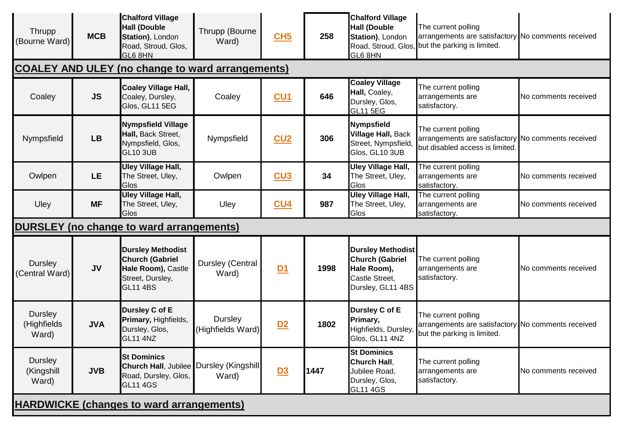| Thrupp<br>(Bourne Ward)                         | <b>MCB</b> | <b>Chalford Village</b><br><b>Hall (Double</b><br>Station), London<br>Road, Stroud, Glos,<br>GL6 8HN            | Thrupp (Bourne<br>Ward)      | CH5        | 258  | <b>Chalford Village</b><br><b>Hall (Double</b><br>Station), London<br>GL6 8HN                            | The current polling<br>arrangements are satisfactory No comments received<br>Road, Stroud, Glos, but the parking is limited. |                             |
|-------------------------------------------------|------------|-----------------------------------------------------------------------------------------------------------------|------------------------------|------------|------|----------------------------------------------------------------------------------------------------------|------------------------------------------------------------------------------------------------------------------------------|-----------------------------|
|                                                 |            | <b>COALEY AND ULEY (no change to ward arrangements)</b>                                                         |                              |            |      |                                                                                                          |                                                                                                                              |                             |
| Coaley                                          | <b>JS</b>  | <b>Coaley Village Hall,</b><br>Coaley, Dursley,<br>Glos, GL11 5EG                                               | Coaley                       | <u>CU1</u> | 646  | <b>Coaley Village</b><br>Hall, Coaley,<br>Dursley, Glos,<br><b>GL11 5EG</b>                              | The current polling<br>arrangements are<br>satisfactory.                                                                     | No comments received        |
| Nympsfield                                      | <b>LB</b>  | <b>Nympsfield Village</b><br>Hall, Back Street,<br>Nympsfield, Glos,<br><b>GL10 3UB</b>                         | Nympsfield                   | CU2        | 306  | Nympsfield<br><b>Village Hall, Back</b><br>Street, Nympsfield,<br>Glos, GL10 3UB                         | The current polling<br>arrangements are satisfactory No comments received<br>but disabled access is limited.                 |                             |
| Owlpen                                          | LE.        | <b>Uley Village Hall,</b><br>The Street, Uley,<br>Glos                                                          | Owlpen                       | CU3        | 34   | <b>Uley Village Hall,</b><br>The Street, Uley,<br>Glos                                                   | The current polling<br>arrangements are<br>satisfactory.                                                                     | No comments received        |
| Uley                                            | <b>MF</b>  | <b>Uley Village Hall,</b><br>The Street, Uley,<br>Glos                                                          | Uley                         | CU4        | 987  | <b>Uley Village Hall,</b><br>The Street, Uley,<br>Glos                                                   | The current polling<br>arrangements are<br>satisfactory.                                                                     | <b>No comments received</b> |
|                                                 |            | <b>DURSLEY</b> (no change to ward arrangements)                                                                 |                              |            |      |                                                                                                          |                                                                                                                              |                             |
| Dursley<br>(Central Ward)                       | <b>JV</b>  | <b>Dursley Methodist</b><br><b>Church (Gabriel</b><br>Hale Room), Castle<br>Street, Dursley,<br><b>GL11 4BS</b> | Dursley (Central<br>Ward)    | D1         | 1998 | <b>Dursley Methodist</b><br><b>Church (Gabriel</b><br>Hale Room),<br>Castle Street,<br>Dursley, GL11 4BS | The current polling<br>arrangements are<br>satisfactory.                                                                     | No comments received        |
| <b>Dursley</b><br>(Highfields<br>Ward)          | <b>JVA</b> | Dursley C of E<br>Primary, Highfields,<br>Dursley, Glos,<br><b>GL11 4NZ</b>                                     | Dursley<br>(Highfields Ward) | D2         | 1802 | Dursley C of E<br>Primary,<br>Highfields, Dursley,<br>Glos, GL11 4NZ                                     | The current polling<br>arrangements are satisfactory No comments received<br>but the parking is limited.                     |                             |
| Dursley<br>(Kingshill<br>Ward)                  | <b>JVB</b> | <b>St Dominics</b><br><b>Church Hall, Jubilee</b><br>Road, Dursley, Glos,<br><b>GL11 4GS</b>                    | Dursley (Kingshill<br>Ward)  | D3         | 1447 | <b>St Dominics</b><br>Church Hall,<br>Jubilee Road,<br>Dursley, Glos,<br><b>GL11 4GS</b>                 | The current polling<br>arrangements are<br>satisfactory.                                                                     | No comments received        |
| <b>HARDWICKE (changes to ward arrangements)</b> |            |                                                                                                                 |                              |            |      |                                                                                                          |                                                                                                                              |                             |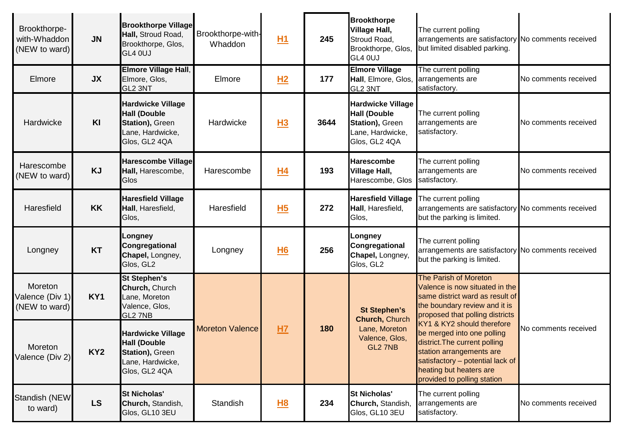| Brookthorpe-<br>with-Whaddon<br>(NEW to ward) | JN              | <b>Brookthorpe Village</b><br>Hall, Stroud Road,<br>Brookthorpe, Glos,<br>GL4 0UJ                       | Brookthorpe-with-<br>Whaddon | H1        | 245  | <b>Brookthorpe</b><br><b>Village Hall,</b><br>Stroud Road,<br>Brookthorpe, Glos,<br>GL4 0UJ             | The current polling<br>arrangements are satisfactory No comments received<br>but limited disabled parking.                                                                                                          |                      |
|-----------------------------------------------|-----------------|---------------------------------------------------------------------------------------------------------|------------------------------|-----------|------|---------------------------------------------------------------------------------------------------------|---------------------------------------------------------------------------------------------------------------------------------------------------------------------------------------------------------------------|----------------------|
| Elmore                                        | <b>JX</b>       | Elmore Village Hall,<br>Elmore, Glos,<br>GL2 3NT                                                        | Elmore                       | H2        | 177  | <b>Elmore Village</b><br>Hall, Elmore, Glos,<br>GL2 3NT                                                 | The current polling<br>arrangements are<br>satisfactory.                                                                                                                                                            | No comments received |
| Hardwicke                                     | KI              | <b>Hardwicke Village</b><br><b>Hall (Double</b><br>Station), Green<br>Lane, Hardwicke,<br>Glos, GL2 4QA | Hardwicke                    | <u>H3</u> | 3644 | <b>Hardwicke Village</b><br><b>Hall (Double</b><br>Station), Green<br>Lane, Hardwicke,<br>Glos, GL2 4QA | The current polling<br>arrangements are<br>satisfactory.                                                                                                                                                            | No comments received |
| Harescombe<br>(NEW to ward)                   | <b>KJ</b>       | <b>Harescombe Village</b><br>Hall, Harescombe,<br>Glos                                                  | Harescombe                   | <u>H4</u> | 193  | <b>Harescombe</b><br><b>Village Hall,</b><br>Harescombe, Glos                                           | The current polling<br>arrangements are<br>satisfactory.                                                                                                                                                            | No comments received |
| Haresfield                                    | <b>KK</b>       | <b>Haresfield Village</b><br>Hall, Haresfield,<br>Glos,                                                 | Haresfield                   | <u>H5</u> | 272  | <b>Haresfield Village</b><br>Hall, Haresfield,<br>Glos,                                                 | The current polling<br>arrangements are satisfactory No comments received<br>but the parking is limited.                                                                                                            |                      |
| Longney                                       | <b>KT</b>       | Longney<br>Congregational<br>Chapel, Longney,<br>Glos, GL2                                              | Longney                      | <b>H6</b> | 256  | Longney<br>Congregational<br>Chapel, Longney,<br>Glos, GL2                                              | The current polling<br>arrangements are satisfactory No comments received<br>but the parking is limited.                                                                                                            |                      |
| Moreton<br>Valence (Div 1)<br>(NEW to ward)   | KY1             | <b>St Stephen's</b><br>Church, Church<br>Lane, Moreton<br>Valence, Glos,<br>GL2 7NB                     |                              |           |      | <b>St Stephen's</b><br><b>Church, Church</b>                                                            | <b>The Parish of Moreton</b><br>Valence is now situated in the<br>same district ward as result of<br>the boundary review and it is<br>proposed that polling districts                                               |                      |
| Moreton<br>Valence (Div 2)                    | KY <sub>2</sub> | <b>Hardwicke Village</b><br><b>Hall (Double</b><br>Station), Green<br>Lane, Hardwicke,<br>Glos, GL2 4QA | <b>Moreton Valence</b>       | HZ        | 180  | Lane, Moreton<br>Valence, Glos,<br>GL2 7NB                                                              | KY1 & KY2 should therefore<br>be merged into one polling<br>district. The current polling<br>station arrangements are<br>satisfactory - potential lack of<br>heating but heaters are<br>provided to polling station | No comments received |
| Standish (NEW<br>to ward)                     | <b>LS</b>       | <b>St Nicholas'</b><br>Church, Standish,<br>Glos, GL10 3EU                                              | Standish                     | <u>H8</u> | 234  | <b>St Nicholas'</b><br>Church, Standish,<br>Glos, GL10 3EU                                              | The current polling<br>arrangements are<br>satisfactory.                                                                                                                                                            | No comments received |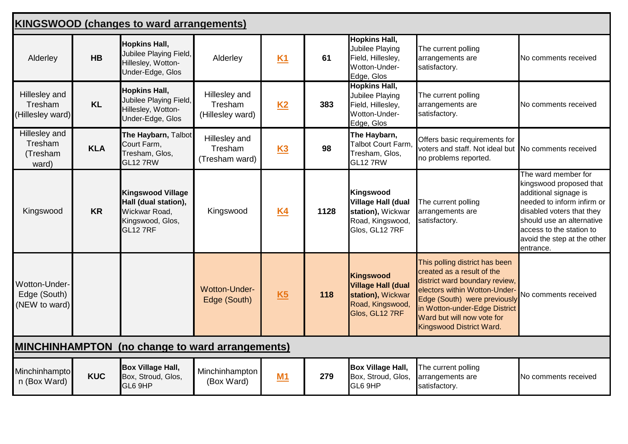|                                                        | <b>KINGSWOOD (changes to ward arrangements)</b> |                                                                                                   |                                              |           |      |                                                                                                          |                                                                                                                                                                                                                                                            |                                                                                                                                                                                                                                         |  |  |
|--------------------------------------------------------|-------------------------------------------------|---------------------------------------------------------------------------------------------------|----------------------------------------------|-----------|------|----------------------------------------------------------------------------------------------------------|------------------------------------------------------------------------------------------------------------------------------------------------------------------------------------------------------------------------------------------------------------|-----------------------------------------------------------------------------------------------------------------------------------------------------------------------------------------------------------------------------------------|--|--|
| Alderley                                               | <b>HB</b>                                       | <b>Hopkins Hall,</b><br>Jubilee Playing Field,<br>Hillesley, Wotton-<br>Under-Edge, Glos          | Alderley                                     | K1        | 61   | <b>Hopkins Hall,</b><br><b>Jubilee Playing</b><br>Field, Hillesley,<br>Wotton-Under-<br>Edge, Glos       | The current polling<br>arrangements are<br>satisfactory.                                                                                                                                                                                                   | No comments received                                                                                                                                                                                                                    |  |  |
| Hillesley and<br>Tresham<br>(Hillesley ward)           | <b>KL</b>                                       | <b>Hopkins Hall,</b><br>Jubilee Playing Field,<br>Hillesley, Wotton-<br>Under-Edge, Glos          | Hillesley and<br>Tresham<br>(Hillesley ward) | K2        | 383  | <b>Hopkins Hall,</b><br>Jubilee Playing<br>Field, Hillesley,<br>Wotton-Under-<br>Edge, Glos              | The current polling<br>arrangements are<br>satisfactory.                                                                                                                                                                                                   | No comments received                                                                                                                                                                                                                    |  |  |
| Hillesley and<br>Tresham<br>(Tresham<br>ward)          | <b>KLA</b>                                      | The Haybarn, Talbot<br>Court Farm,<br>Tresham, Glos,<br>GL12 7RW                                  | Hillesley and<br>Tresham<br>(Tresham ward)   | <b>K3</b> | 98   | The Haybarn,<br>Talbot Court Farm,<br>Tresham, Glos,<br><b>GL12 7RW</b>                                  | Offers basic requirements for<br>voters and staff. Not ideal but No comments received<br>no problems reported.                                                                                                                                             |                                                                                                                                                                                                                                         |  |  |
| Kingswood                                              | <b>KR</b>                                       | <b>Kingswood Village</b><br>Hall (dual station),<br>Wickwar Road,<br>Kingswood, Glos,<br>GL12 7RF | Kingswood                                    | <b>K4</b> | 1128 | Kingswood<br><b>Village Hall (dual</b><br>station), Wickwar<br>Road, Kingswood,<br>Glos, GL12 7RF        | The current polling<br>arrangements are<br>satisfactory.                                                                                                                                                                                                   | The ward member for<br>kingswood proposed that<br>additional signage is<br>needed to inform infirm or<br>disabled voters that they<br>should use an alternative<br>access to the station to<br>avoid the step at the other<br>entrance. |  |  |
| Wotton-Under-<br>Edge (South)<br>(NEW to ward)         |                                                 |                                                                                                   | <b>Wotton-Under-</b><br>Edge (South)         | K5        | 118  | <b>Kingswood</b><br><b>Village Hall (dual</b><br>station), Wickwar<br>Road, Kingswood,<br>Glos, GL12 7RF | This polling district has been<br>created as a result of the<br>district ward boundary review,<br>electors within Wotton-Under-<br>Edge (South) were previously<br>in Wotton-under-Edge District<br>Ward but will now vote for<br>Kingswood District Ward. | No comments received                                                                                                                                                                                                                    |  |  |
| <b>MINCHINHAMPTON</b> (no change to ward arrangements) |                                                 |                                                                                                   |                                              |           |      |                                                                                                          |                                                                                                                                                                                                                                                            |                                                                                                                                                                                                                                         |  |  |
| Minchinhampto<br>n (Box Ward)                          | <b>KUC</b>                                      | <b>Box Village Hall,</b><br>Box, Stroud, Glos,<br>GL6 9HP                                         | Minchinhampton<br>(Box Ward)                 | M1        | 279  | <b>Box Village Hall,</b><br>Box, Stroud, Glos,<br>GL6 9HP                                                | The current polling<br>arrangements are<br>satisfactory.                                                                                                                                                                                                   | No comments received                                                                                                                                                                                                                    |  |  |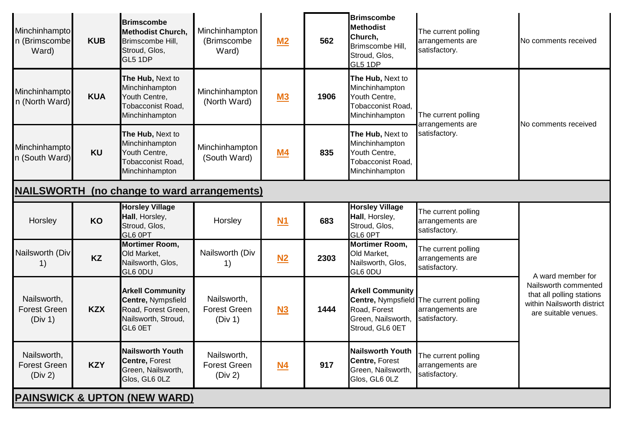| Minchinhampto<br>n (Brimscombe<br>Ward)            | <b>KUB</b> | <b>Brimscombe</b><br><b>Methodist Church,</b><br>Brimscombe Hill,<br>Stroud, Glos,<br>GL5 1DP          | Minchinhampton<br>(Brimscombe<br>Ward)        | M2        | 562  | <b>Brimscombe</b><br><b>Methodist</b><br>Church,<br>Brimscombe Hill,<br>Stroud, Glos,<br>GL5 1DP                                  | The current polling<br>arrangements are<br>satisfactory. | No comments received                                                                                    |  |  |
|----------------------------------------------------|------------|--------------------------------------------------------------------------------------------------------|-----------------------------------------------|-----------|------|-----------------------------------------------------------------------------------------------------------------------------------|----------------------------------------------------------|---------------------------------------------------------------------------------------------------------|--|--|
| Minchinhampto<br>n (North Ward)                    | <b>KUA</b> | The Hub, Next to<br>Minchinhampton<br>Youth Centre,<br>Tobacconist Road,<br>Minchinhampton             | Minchinhampton<br>(North Ward)                | <b>M3</b> | 1906 | The Hub, Next to<br>Minchinhampton<br>Youth Centre,<br>Tobacconist Road,<br>Minchinhampton                                        | The current polling<br>arrangements are                  |                                                                                                         |  |  |
| Minchinhampto<br>n (South Ward)                    | <b>KU</b>  | The Hub, Next to<br>Minchinhampton<br>Youth Centre,<br>Tobacconist Road,<br>Minchinhampton             | Minchinhampton<br>(South Ward)                | <u>M4</u> | 835  | The Hub, Next to<br>Minchinhampton<br>Youth Centre,<br><b>Tobacconist Road.</b><br>Minchinhampton                                 | satisfactory.                                            | No comments received                                                                                    |  |  |
| <b>NAILSWORTH</b> (no change to ward arrangements) |            |                                                                                                        |                                               |           |      |                                                                                                                                   |                                                          |                                                                                                         |  |  |
| Horsley                                            | KO         | <b>Horsley Village</b><br>Hall, Horsley,<br>Stroud, Glos,<br>GL6 0PT                                   | Horsley                                       | <b>N1</b> | 683  | <b>Horsley Village</b><br>Hall, Horsley,<br>Stroud, Glos,<br>GL6 0PT                                                              | The current polling<br>arrangements are<br>satisfactory. |                                                                                                         |  |  |
| Nailsworth (Div<br>1)                              | <b>KZ</b>  | <b>Mortimer Room,</b><br>Old Market,<br>Nailsworth, Glos,<br>GL6 0DU                                   | Nailsworth (Div<br>1)                         | N2        | 2303 | <b>Mortimer Room,</b><br>Old Market,<br>Nailsworth, Glos,<br>GL6 0DU                                                              | The current polling<br>arrangements are<br>satisfactory. | A ward member for                                                                                       |  |  |
| Nailsworth,<br><b>Forest Green</b><br>(Div 1)      | <b>KZX</b> | <b>Arkell Community</b><br>Centre, Nympsfield<br>Road, Forest Green,<br>Nailsworth, Stroud,<br>GL6 0ET | Nailsworth,<br><b>Forest Green</b><br>(Div 1) | N3        | 1444 | <b>Arkell Community</b><br><b>Centre, Nympsfield The current polling</b><br>Road, Forest<br>Green, Nailsworth,<br>Stroud, GL6 0ET | arrangements are<br>satisfactory.                        | Nailsworth commented<br>that all polling stations<br>within Nailsworth district<br>are suitable venues. |  |  |
| Nailsworth,<br><b>Forest Green</b><br>(Div 2)      | <b>KZY</b> | <b>Nailsworth Youth</b><br>Centre, Forest<br>Green, Nailsworth,<br>Glos, GL6 0LZ                       | Nailsworth,<br><b>Forest Green</b><br>(Div 2) | <u>N4</u> | 917  | <b>Nailsworth Youth</b><br>Centre, Forest<br>Green, Nailsworth,<br>Glos, GL6 0LZ                                                  | The current polling<br>arrangements are<br>satisfactory. |                                                                                                         |  |  |
| <b>PAINSWICK &amp; UPTON (NEW WARD)</b>            |            |                                                                                                        |                                               |           |      |                                                                                                                                   |                                                          |                                                                                                         |  |  |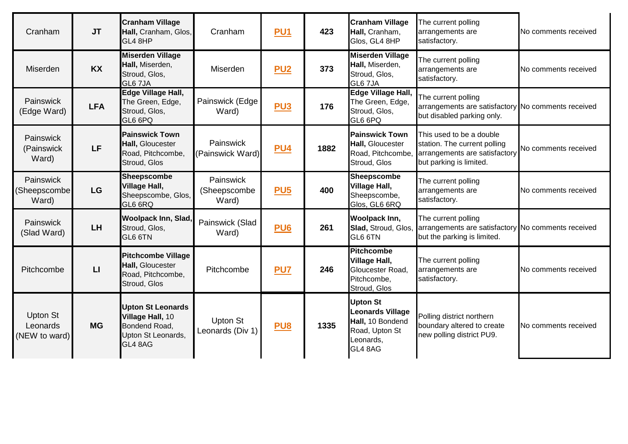| Cranham                                   | <b>JT</b>    | <b>Cranham Village</b><br>Hall, Cranham, Glos,<br>GL4 8HP                                      | Cranham                             | <b>PU1</b>      | 423  | <b>Cranham Village</b><br>Hall, Cranham,<br>Glos, GL4 8HP                                                | The current polling<br>arrangements are<br>satisfactory.                                                             | No comments received |
|-------------------------------------------|--------------|------------------------------------------------------------------------------------------------|-------------------------------------|-----------------|------|----------------------------------------------------------------------------------------------------------|----------------------------------------------------------------------------------------------------------------------|----------------------|
| Miserden                                  | <b>KX</b>    | <b>Miserden Village</b><br>Hall, Miserden,<br>Stroud, Glos,<br>GL6 7JA                         | Miserden                            | <b>PU2</b>      | 373  | <b>Miserden Village</b><br>Hall, Miserden,<br>Stroud, Glos,<br>GL6 7JA                                   | The current polling<br>arrangements are<br>satisfactory.                                                             | No comments received |
| Painswick<br>(Edge Ward)                  | <b>LFA</b>   | Edge Village Hall,<br>The Green, Edge,<br>Stroud, Glos,<br>GL6 6PQ                             | Painswick (Edge<br>Ward)            | <b>PU3</b>      | 176  | Edge Village Hall,<br>The Green, Edge,<br>Stroud, Glos,<br>GL6 6PQ                                       | The current polling<br>arrangements are satisfactory No comments received<br>but disabled parking only.              |                      |
| Painswick<br>(Painswick<br>Ward)          | <b>LF</b>    | <b>Painswick Town</b><br>Hall, Gloucester<br>Road, Pitchcombe,<br>Stroud, Glos                 | Painswick<br>(Painswick Ward)       | <b>PU4</b>      | 1882 | <b>Painswick Town</b><br>Hall, Gloucester<br>Road, Pitchcombe,<br>Stroud, Glos                           | This used to be a double<br>station. The current polling<br>arrangements are satisfactory<br>but parking is limited. | No comments received |
| <b>Painswick</b><br>(Sheepscombe<br>Ward) | LG           | <b>Sheepscombe</b><br><b>Village Hall,</b><br>Sheepscombe, Glos,<br>GL6 6RQ                    | Painswick<br>(Sheepscombe<br>Ward)  | <b>PU5</b>      | 400  | <b>Sheepscombe</b><br><b>Village Hall,</b><br>Sheepscombe,<br>Glos, GL6 6RQ                              | The current polling<br>arrangements are<br>satisfactory.                                                             | No comments received |
| Painswick<br>(Slad Ward)                  | <b>LH</b>    | <b>Woolpack Inn, Slad,</b><br>Stroud, Glos,<br>GL6 6TN                                         | Painswick (Slad<br>Ward)            | PU <sub>6</sub> | 261  | <b>Woolpack Inn,</b><br>Slad, Stroud, Glos,<br>GL6 6TN                                                   | The current polling<br>arrangements are satisfactory No comments received<br>but the parking is limited.             |                      |
| Pitchcombe                                | $\mathsf{L}$ | <b>Pitchcombe Village</b><br>Hall, Gloucester<br>Road, Pitchcombe,<br>Stroud, Glos             | Pitchcombe                          | PU <sub>7</sub> | 246  | Pitchcombe<br><b>Village Hall,</b><br>Gloucester Road,<br>Pitchcombe,<br>Stroud, Glos                    | The current polling<br>arrangements are<br>satisfactory.                                                             | No comments received |
| Upton St<br>Leonards<br>(NEW to ward)     | <b>MG</b>    | <b>Upton St Leonards</b><br>Village Hall, 10<br>Bondend Road,<br>Upton St Leonards,<br>GL4 8AG | <b>Upton St</b><br>Leonards (Div 1) | PU <sub>8</sub> | 1335 | <b>Upton St</b><br><b>Leonards Village</b><br>Hall, 10 Bondend<br>Road, Upton St<br>Leonards,<br>GL4 8AG | Polling district northern<br>boundary altered to create<br>new polling district PU9.                                 | No comments received |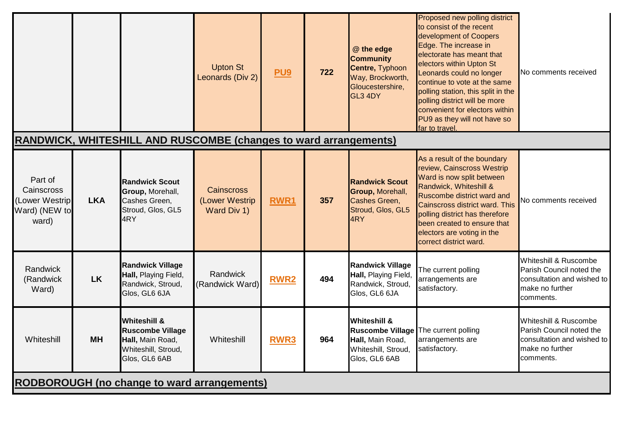|                                                                         |            |                                                                                                                | <b>Upton St</b><br>Leonards (Div 2)                | PU <sub>9</sub> | 722 | @ the edge<br><b>Community</b><br><b>Centre, Typhoon</b><br>Way, Brockworth,<br>Gloucestershire,<br>GL3 4DY                 | Proposed new polling district<br>to consist of the recent<br>development of Coopers<br>Edge. The increase in<br>electorate has meant that<br>electors within Upton St<br>Leonards could no longer<br>continue to vote at the same<br>polling station, this split in the<br>polling district will be more<br>convenient for electors within<br>PU9 as they will not have so<br>far to travel. | No comments received                                                                                            |  |
|-------------------------------------------------------------------------|------------|----------------------------------------------------------------------------------------------------------------|----------------------------------------------------|-----------------|-----|-----------------------------------------------------------------------------------------------------------------------------|----------------------------------------------------------------------------------------------------------------------------------------------------------------------------------------------------------------------------------------------------------------------------------------------------------------------------------------------------------------------------------------------|-----------------------------------------------------------------------------------------------------------------|--|
| <b>RANDWICK, WHITESHILL AND RUSCOMBE (changes to ward arrangements)</b> |            |                                                                                                                |                                                    |                 |     |                                                                                                                             |                                                                                                                                                                                                                                                                                                                                                                                              |                                                                                                                 |  |
| Part of<br>Cainscross<br>(Lower Westrip<br>Ward) (NEW to<br>ward)       | <b>LKA</b> | <b>Randwick Scout</b><br>Group, Morehall,<br>Cashes Green,<br>Stroud, Glos, GL5<br>4RY                         | <b>Cainscross</b><br>(Lower Westrip<br>Ward Div 1) | RWR1            | 357 | <b>Randwick Scout</b><br>Group, Morehall,<br>Cashes Green,<br>Stroud, Glos, GL5<br>4RY                                      | As a result of the boundary<br>review, Cainscross Westrip<br>Ward is now split between<br>Randwick, Whiteshill &<br>Ruscombe district ward and<br>Cainscross district ward. This<br>polling district has therefore<br>been created to ensure that<br>electors are voting in the<br>correct district ward.                                                                                    | No comments received                                                                                            |  |
| Randwick<br>(Randwick<br>Ward)                                          | <b>LK</b>  | <b>Randwick Village</b><br>Hall, Playing Field,<br>Randwick, Stroud,<br>Glos, GL6 6JA                          | Randwick<br>(Randwick Ward)                        | <b>RWR2</b>     | 494 | <b>Randwick Village</b><br>Hall, Playing Field,<br>Randwick, Stroud,<br>Glos, GL6 6JA                                       | The current polling<br>arrangements are<br>satisfactory.                                                                                                                                                                                                                                                                                                                                     | Whiteshill & Ruscombe<br>Parish Council noted the<br>consultation and wished to<br>make no further<br>comments. |  |
| Whiteshill                                                              | <b>MH</b>  | <b>Whiteshill &amp;</b><br><b>Ruscombe Village</b><br>Hall, Main Road,<br>Whiteshill, Stroud,<br>Glos, GL6 6AB | Whiteshill                                         | <b>RWR3</b>     | 964 | <b>Whiteshill &amp;</b><br>Ruscombe Village The current polling<br>Hall, Main Road,<br>Whiteshill, Stroud,<br>Glos, GL6 6AB | arrangements are<br>satisfactory.                                                                                                                                                                                                                                                                                                                                                            | Whiteshill & Ruscombe<br>Parish Council noted the<br>consultation and wished to<br>make no further<br>comments. |  |
| <b>RODBOROUGH</b> (no change to ward arrangements)                      |            |                                                                                                                |                                                    |                 |     |                                                                                                                             |                                                                                                                                                                                                                                                                                                                                                                                              |                                                                                                                 |  |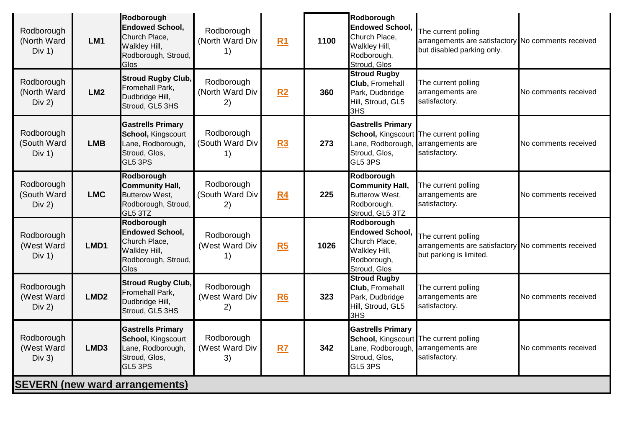| Rodborough<br>(North Ward<br>Div 1)   | LM <sub>1</sub>  | Rodborough<br><b>Endowed School,</b><br>Church Place,<br>Walkley Hill,<br>Rodborough, Stroud,<br>Glos  | Rodborough<br>(North Ward Div<br>1) | R <sub>1</sub> | 1100 | Rodborough<br><b>Endowed School,</b><br>Church Place,<br>Walkley Hill,<br>Rodborough,<br>Stroud, Glos               | The current polling<br>arrangements are satisfactory No comments received<br>but disabled parking only. |                      |
|---------------------------------------|------------------|--------------------------------------------------------------------------------------------------------|-------------------------------------|----------------|------|---------------------------------------------------------------------------------------------------------------------|---------------------------------------------------------------------------------------------------------|----------------------|
| Rodborough<br>(North Ward<br>Div 2)   | LM2              | <b>Stroud Rugby Club,</b><br>Fromehall Park,<br>Dudbridge Hill,<br>Stroud, GL5 3HS                     | Rodborough<br>(North Ward Div<br>2) | R <sub>2</sub> | 360  | <b>Stroud Rugby</b><br><b>Club, Fromehall</b><br>Park, Dudbridge<br>Hill, Stroud, GL5<br>3HS                        | The current polling<br>arrangements are<br>satisfactory.                                                | No comments received |
| Rodborough<br>(South Ward<br>Div 1)   | <b>LMB</b>       | <b>Gastrells Primary</b><br><b>School, Kingscourt</b><br>Lane, Rodborough,<br>Stroud, Glos,<br>GL5 3PS | Rodborough<br>(South Ward Div<br>1) | R3             | 273  | <b>Gastrells Primary</b><br>School, Kingscourt The current polling<br>Lane, Rodborough,<br>Stroud, Glos,<br>GL5 3PS | arrangements are<br>satisfactory.                                                                       | No comments received |
| Rodborough<br>(South Ward<br>Div 2)   | <b>LMC</b>       | Rodborough<br><b>Community Hall,</b><br><b>Butterow West,</b><br>Rodborough, Stroud,<br>GL5 3TZ        | Rodborough<br>(South Ward Div<br>2) | R4             | 225  | Rodborough<br><b>Community Hall,</b><br>Butterow West,<br>Rodborough,<br>Stroud, GL5 3TZ                            | The current polling<br>arrangements are<br>satisfactory.                                                | No comments received |
| Rodborough<br>(West Ward<br>Div 1)    | LMD1             | Rodborough<br><b>Endowed School,</b><br>Church Place,<br>Walkley Hill,<br>Rodborough, Stroud,<br>Glos  | Rodborough<br>(West Ward Div<br>1)  | R <sub>5</sub> | 1026 | Rodborough<br><b>Endowed School,</b><br>Church Place,<br>Walkley Hill,<br>Rodborough,<br>Stroud, Glos               | The current polling<br>arrangements are satisfactory No comments received<br>but parking is limited.    |                      |
| Rodborough<br>(West Ward<br>Div 2)    | LMD <sub>2</sub> | <b>Stroud Rugby Club,</b><br>Fromehall Park,<br>Dudbridge Hill,<br>Stroud, GL5 3HS                     | Rodborough<br>(West Ward Div<br>2)  | R <sub>6</sub> | 323  | <b>Stroud Rugby</b><br><b>Club, Fromehall</b><br>Park, Dudbridge<br>Hill, Stroud, GL5<br>3HS                        | The current polling<br>arrangements are<br>satisfactory.                                                | No comments received |
| Rodborough<br>(West Ward<br>Div 3)    | LMD3             | <b>Gastrells Primary</b><br><b>School, Kingscourt</b><br>Lane, Rodborough,<br>Stroud, Glos,<br>GL5 3PS | Rodborough<br>(West Ward Div<br>3)  | R7             | 342  | <b>Gastrells Primary</b><br>School, Kingscourt The current polling<br>Lane, Rodborough,<br>Stroud, Glos,<br>GL5 3PS | arrangements are<br>satisfactory.                                                                       | No comments received |
| <b>SEVERN (new ward arrangements)</b> |                  |                                                                                                        |                                     |                |      |                                                                                                                     |                                                                                                         |                      |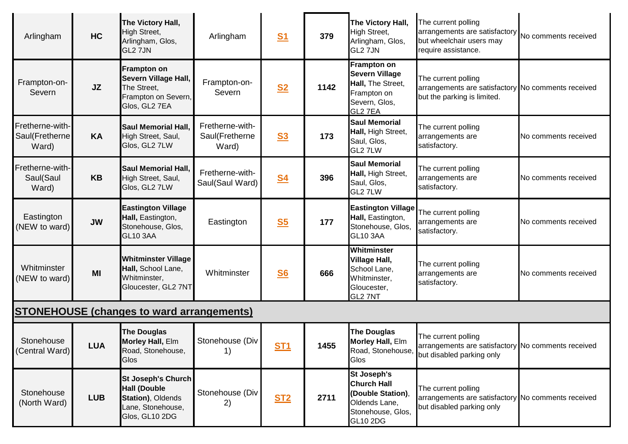| Arlingham                                  | <b>HC</b>  | The Victory Hall,<br>High Street,<br>Arlingham, Glos,<br>GL2 7JN                                             | Arlingham                                  | <b>S1</b>      | 379  | The Victory Hall,<br>High Street,<br>Arlingham, Glos,<br>GL2 7JN                                                       | The current polling<br>arrangements are satisfactory No comments received<br>but wheelchair users may<br>require assistance. |                      |
|--------------------------------------------|------------|--------------------------------------------------------------------------------------------------------------|--------------------------------------------|----------------|------|------------------------------------------------------------------------------------------------------------------------|------------------------------------------------------------------------------------------------------------------------------|----------------------|
| Frampton-on-<br>Severn                     | <b>JZ</b>  | <b>Frampton on</b><br>Severn Village Hall,<br>The Street,<br>Frampton on Severn,<br>Glos, GL2 7EA            | Frampton-on-<br>Severn                     | S <sub>2</sub> | 1142 | <b>Frampton on</b><br><b>Severn Village</b><br>Hall, The Street,<br>Frampton on<br>Severn, Glos,<br>GL2 7EA            | The current polling<br>arrangements are satisfactory No comments received<br>but the parking is limited.                     |                      |
| Fretherne-with-<br>Saul(Fretherne<br>Ward) | <b>KA</b>  | <b>Saul Memorial Hall,</b><br>High Street, Saul,<br>Glos, GL2 7LW                                            | Fretherne-with-<br>Saul(Fretherne<br>Ward) | S <sub>3</sub> | 173  | <b>Saul Memorial</b><br>Hall, High Street,<br>Saul, Glos,<br>GL2 7LW                                                   | The current polling<br>arrangements are<br>satisfactory.                                                                     | No comments received |
| Fretherne-with-<br>Saul(Saul<br>Ward)      | <b>KB</b>  | Saul Memorial Hall,<br>High Street, Saul,<br>Glos, GL2 7LW                                                   | Fretherne-with-<br>Saul(Saul Ward)         | <u>S4</u>      | 396  | <b>Saul Memorial</b><br>Hall, High Street,<br>Saul, Glos,<br>GL2 7LW                                                   | The current polling<br>arrangements are<br>satisfactory.                                                                     | No comments received |
| Eastington<br>(NEW to ward)                | <b>JW</b>  | <b>Eastington Village</b><br>Hall, Eastington,<br>Stonehouse, Glos,<br><b>GL10 3AA</b>                       | Eastington                                 | S <sub>5</sub> | 177  | <b>Eastington Village</b><br>Hall, Eastington,<br>Stonehouse, Glos,<br><b>GL10 3AA</b>                                 | The current polling<br>arrangements are<br>satisfactory.                                                                     | No comments received |
| Whitminster<br>(NEW to ward)               | MI         | <b>Whitminster Village</b><br>Hall, School Lane,<br>Whitminster,<br>Gloucester, GL2 7NT                      | Whitminster                                | <b>S6</b>      | 666  | Whitminster<br><b>Village Hall,</b><br>School Lane,<br>Whitminster,<br>Gloucester,<br>GL2 7NT                          | The current polling<br>arrangements are<br>satisfactory.                                                                     | No comments received |
|                                            |            | <b>STONEHOUSE (changes to ward arrangements)</b>                                                             |                                            |                |      |                                                                                                                        |                                                                                                                              |                      |
| Stonehouse<br>(Central Ward)               | <b>LUA</b> | <b>The Douglas</b><br>Morley Hall, Elm<br>Road, Stonehouse,<br><b>Glos</b>                                   | Stonehouse (Div<br>1)                      | <b>ST1</b>     | 1455 | <b>The Douglas</b><br>Morley Hall, Elm<br>Glos                                                                         | The current polling<br>arrangements are satisfactory No comments received<br>Road, Stonehouse, but disabled parking only     |                      |
| Stonehouse<br>(North Ward)                 | <b>LUB</b> | <b>St Joseph's Church</b><br><b>Hall (Double</b><br>Station), Oldends<br>Lane, Stonehouse,<br>Glos, GL10 2DG | Stonehouse (Div<br>2)                      | <b>ST2</b>     | 2711 | <b>St Joseph's</b><br><b>Church Hall</b><br>(Double Station),<br>Oldends Lane,<br>Stonehouse, Glos,<br><b>GL10 2DG</b> | The current polling<br>arrangements are satisfactory No comments received<br>but disabled parking only                       |                      |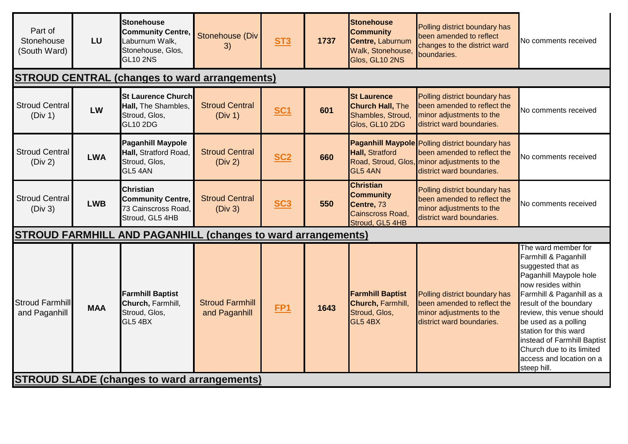| Part of<br>Stonehouse<br>(South Ward)              | LU                                                   | Stonehouse<br><b>Community Centre,</b><br>Laburnum Walk,<br>Stonehouse, Glos,<br><b>GL10 2NS</b> | Stonehouse (Div<br>3)                   | ST <sub>3</sub> | 1737 | <b>Stonehouse</b><br><b>Community</b><br>Centre, Laburnum<br>Walk, Stonehouse,<br>Glos, GL10 2NS | Polling district boundary has<br>been amended to reflect<br>changes to the district ward<br>boundaries.                                                            | <b>Vo comments received</b>                                                                                                                                                                                                                                                                                                                                  |  |  |  |
|----------------------------------------------------|------------------------------------------------------|--------------------------------------------------------------------------------------------------|-----------------------------------------|-----------------|------|--------------------------------------------------------------------------------------------------|--------------------------------------------------------------------------------------------------------------------------------------------------------------------|--------------------------------------------------------------------------------------------------------------------------------------------------------------------------------------------------------------------------------------------------------------------------------------------------------------------------------------------------------------|--|--|--|
|                                                    | <b>STROUD CENTRAL (changes to ward arrangements)</b> |                                                                                                  |                                         |                 |      |                                                                                                  |                                                                                                                                                                    |                                                                                                                                                                                                                                                                                                                                                              |  |  |  |
| <b>Stroud Central</b><br>(Div 1)                   | LW                                                   | St Laurence Church<br>Hall, The Shambles,<br>Stroud, Glos,<br><b>GL10 2DG</b>                    | <b>Stroud Central</b><br>(Div 1)        | <b>SC1</b>      | 601  | <b>St Laurence</b><br><b>Church Hall, The</b><br>Shambles, Stroud,<br>Glos, GL10 2DG             | Polling district boundary has<br>been amended to reflect the<br>minor adjustments to the<br>district ward boundaries.                                              | No comments received                                                                                                                                                                                                                                                                                                                                         |  |  |  |
| <b>Stroud Central</b><br>(Div 2)                   | <b>LWA</b>                                           | <b>Paganhill Maypole</b><br>Hall, Stratford Road,<br>Stroud, Glos,<br>GL5 4AN                    | <b>Stroud Central</b><br>(Div 2)        | <b>SC2</b>      | 660  | Hall, Stratford<br>GL5 4AN                                                                       | <b>Paganhill Maypole Polling district boundary has</b><br>been amended to reflect the<br>Road, Stroud, Glos, minor adjustments to the<br>district ward boundaries. | <b>No comments received</b>                                                                                                                                                                                                                                                                                                                                  |  |  |  |
| <b>Stroud Central</b><br>(Div 3)                   | <b>LWB</b>                                           | <b>Christian</b><br><b>Community Centre,</b><br>73 Cainscross Road,<br>Stroud, GL5 4HB           | <b>Stroud Central</b><br>(Div 3)        | <b>SC3</b>      | 550  | <b>Christian</b><br><b>Community</b><br>Centre, 73<br>Cainscross Road,<br>Stroud, GL5 4HB        | Polling district boundary has<br>been amended to reflect the<br>minor adjustments to the<br>district ward boundaries.                                              | No comments received                                                                                                                                                                                                                                                                                                                                         |  |  |  |
|                                                    |                                                      | <b>STROUD FARMHILL AND PAGANHILL (changes to ward arrangements)</b>                              |                                         |                 |      |                                                                                                  |                                                                                                                                                                    |                                                                                                                                                                                                                                                                                                                                                              |  |  |  |
| Stroud Farmhill<br>and Paganhill                   | <b>MAA</b>                                           | <b>Farmhill Baptist</b><br>Church, Farmhill,<br>Stroud, Glos,<br>GL5 4BX                         | <b>Stroud Farmhill</b><br>and Paganhill | <b>FP1</b>      | 1643 | <b>Farmhill Baptist</b><br>Church, Farmhill,<br>Stroud, Glos,<br><b>GL5 4BX</b>                  | Polling district boundary has<br>been amended to reflect the<br>minor adjustments to the<br>district ward boundaries.                                              | The ward member for<br>Farmhill & Paganhill<br>suggested that as<br>Paganhill Maypole hole<br>now resides within<br>Farmhill & Paganhill as a<br>result of the boundary<br>review, this venue should<br>be used as a polling<br>station for this ward<br>instead of Farmhill Baptist<br>Church due to its limited<br>access and location on a<br>steep hill. |  |  |  |
| <b>STROUD SLADE (changes to ward arrangements)</b> |                                                      |                                                                                                  |                                         |                 |      |                                                                                                  |                                                                                                                                                                    |                                                                                                                                                                                                                                                                                                                                                              |  |  |  |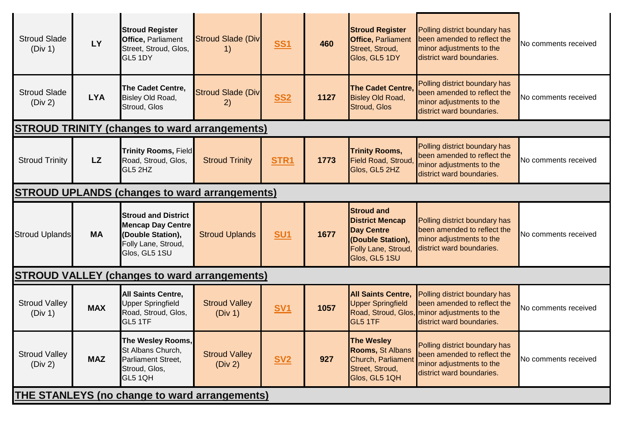| <b>Stroud Slade</b><br>(Div 1)                       | LY                                                   | <b>Stroud Register</b><br>Office, Parliament<br>Street, Stroud, Glos,<br>GL5 1DY                                    | <b>Stroud Slade (Div</b><br>1)  | <b>SS1</b>       | 460  | <b>Stroud Register</b><br><b>Office, Parliament</b><br>Street, Stroud,<br>Glos, GL5 1DY                                       | Polling district boundary has<br>been amended to reflect the<br>minor adjustments to the<br>district ward boundaries.                     | No comments received |  |
|------------------------------------------------------|------------------------------------------------------|---------------------------------------------------------------------------------------------------------------------|---------------------------------|------------------|------|-------------------------------------------------------------------------------------------------------------------------------|-------------------------------------------------------------------------------------------------------------------------------------------|----------------------|--|
| <b>Stroud Slade</b><br>(Div 2)                       | <b>LYA</b>                                           | The Cadet Centre,<br>Bisley Old Road,<br>Stroud, Glos                                                               | <b>Stroud Slade (Div</b><br>2)  | <b>SS2</b>       | 1127 | <b>The Cadet Centre,</b><br><b>Bisley Old Road,</b><br>Stroud, Glos                                                           | Polling district boundary has<br>been amended to reflect the<br>minor adjustments to the<br>district ward boundaries.                     | No comments received |  |
|                                                      |                                                      | <b>STROUD TRINITY (changes to ward arrangements)</b>                                                                |                                 |                  |      |                                                                                                                               |                                                                                                                                           |                      |  |
| <b>Stroud Trinity</b>                                | <b>LZ</b>                                            | <b>Trinity Rooms, Field</b><br>Road, Stroud, Glos,<br>GL5 2HZ                                                       | <b>Stroud Trinity</b>           | STR <sub>1</sub> | 1773 | <b>Trinity Rooms,</b><br><b>Field Road, Stroud</b><br>Glos, GL5 2HZ                                                           | Polling district boundary has<br>been amended to reflect the<br>minor adjustments to the<br>district ward boundaries.                     | No comments received |  |
|                                                      | <b>STROUD UPLANDS (changes to ward arrangements)</b> |                                                                                                                     |                                 |                  |      |                                                                                                                               |                                                                                                                                           |                      |  |
| <b>Stroud Uplands</b>                                | <b>MA</b>                                            | <b>Stroud and District</b><br><b>Mencap Day Centre</b><br>(Double Station),<br>Folly Lane, Stroud,<br>Glos, GL5 1SU | <b>Stroud Uplands</b>           | <b>SU1</b>       | 1677 | <b>Stroud and</b><br><b>District Mencap</b><br><b>Day Centre</b><br>(Double Station),<br>Folly Lane, Stroud,<br>Glos, GL5 1SU | Polling district boundary has<br>been amended to reflect the<br>minor adjustments to the<br>district ward boundaries.                     | No comments received |  |
| <b>STROUD VALLEY (changes to ward arrangements)</b>  |                                                      |                                                                                                                     |                                 |                  |      |                                                                                                                               |                                                                                                                                           |                      |  |
| <b>Stroud Valley</b><br>(Div 1)                      | <b>MAX</b>                                           | <b>All Saints Centre,</b><br><b>Upper Springfield</b><br>Road, Stroud, Glos,<br>GL5 1TF                             | <b>Stroud Valley</b><br>(Div 1) | <b>SV1</b>       | 1057 | <b>All Saints Centre,</b><br><b>Upper Springfield</b><br>GL5 1TF                                                              | Polling district boundary has<br>been amended to reflect the<br>Road, Stroud, Glos, minor adjustments to the<br>district ward boundaries. | No comments received |  |
| <b>Stroud Valley</b><br>(Div 2)                      | <b>MAZ</b>                                           | The Wesley Rooms,<br>St Albans Church,<br>Parliament Street,<br>Stroud, Glos,<br>GL5 1QH                            | <b>Stroud Valley</b><br>(Div 2) | <u>SV2</u>       | 927  | <b>The Wesley</b><br><b>Rooms, St Albans</b><br>Church, Parliament<br>Street, Stroud,<br>Glos, GL5 1QH                        | Polling district boundary has<br>been amended to reflect the<br>minor adjustments to the<br>district ward boundaries.                     | No comments received |  |
| <b>THE STANLEYS (no change to ward arrangements)</b> |                                                      |                                                                                                                     |                                 |                  |      |                                                                                                                               |                                                                                                                                           |                      |  |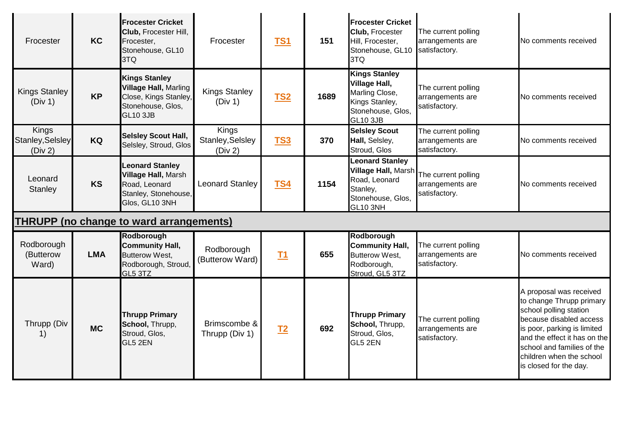| Frocester                            | <b>KC</b>  | <b>Frocester Cricket</b><br>Club, Frocester Hill,<br>Frocester,<br>Stonehouse, GL10<br>3TQ                            | Frocester                            | <b>TS1</b> | 151  | <b>Frocester Cricket</b><br>Club, Frocester<br>Hill, Frocester,<br>Stonehouse, GL10 satisfactory.<br>3TQ                  | The current polling<br>arrangements are                  | No comments received                                                                                                                                                                                                                                        |
|--------------------------------------|------------|-----------------------------------------------------------------------------------------------------------------------|--------------------------------------|------------|------|---------------------------------------------------------------------------------------------------------------------------|----------------------------------------------------------|-------------------------------------------------------------------------------------------------------------------------------------------------------------------------------------------------------------------------------------------------------------|
| <b>Kings Stanley</b><br>(Div 1)      | <b>KP</b>  | <b>Kings Stanley</b><br><b>Village Hall, Marling</b><br>Close, Kings Stanley,<br>Stonehouse, Glos,<br><b>GL10 3JB</b> | <b>Kings Stanley</b><br>(Div 1)      | <b>TS2</b> | 1689 | <b>Kings Stanley</b><br><b>Village Hall,</b><br>Marling Close,<br>Kings Stanley,<br>Stonehouse, Glos,<br><b>GL10 3JB</b>  | The current polling<br>arrangements are<br>satisfactory. | No comments received                                                                                                                                                                                                                                        |
| Kings<br>Stanley, Selsley<br>(Div 2) | KQ         | <b>Selsley Scout Hall,</b><br>Selsley, Stroud, Glos                                                                   | Kings<br>Stanley, Selsley<br>(Div 2) | <b>TS3</b> | 370  | <b>Selsley Scout</b><br>Hall, Selsley,<br>Stroud, Glos                                                                    | The current polling<br>arrangements are<br>satisfactory. | No comments received                                                                                                                                                                                                                                        |
| Leonard<br>Stanley                   | <b>KS</b>  | <b>Leonard Stanley</b><br><b>Village Hall, Marsh</b><br>Road, Leonard<br>Stanley, Stonehouse,<br>Glos, GL10 3NH       | <b>Leonard Stanley</b>               | <b>TS4</b> | 1154 | <b>Leonard Stanley</b><br><b>Village Hall, Marsh</b><br>Road, Leonard<br>Stanley,<br>Stonehouse, Glos,<br><b>GL10 3NH</b> | The current polling<br>arrangements are<br>satisfactory. | No comments received                                                                                                                                                                                                                                        |
|                                      |            | <b>THRUPP (no change to ward arrangements)</b>                                                                        |                                      |            |      |                                                                                                                           |                                                          |                                                                                                                                                                                                                                                             |
| Rodborough<br>(Butterow<br>Ward)     | <b>LMA</b> | Rodborough<br><b>Community Hall,</b><br><b>Butterow West,</b><br>Rodborough, Stroud,<br>GL5 3TZ                       | Rodborough<br>(Butterow Ward)        | <b>T1</b>  | 655  | Rodborough<br><b>Community Hall,</b><br>Butterow West,<br>Rodborough,<br>Stroud, GL5 3TZ                                  | The current polling<br>arrangements are<br>satisfactory. | No comments received                                                                                                                                                                                                                                        |
| Thrupp (Div<br>1)                    | <b>MC</b>  | <b>Thrupp Primary</b><br>School, Thrupp,<br>Stroud, Glos,<br>GL5 2EN                                                  | Brimscombe &<br>Thrupp (Div 1)       | $12$       | 692  | <b>Thrupp Primary</b><br>School, Thrupp,<br>Stroud, Glos,<br>GL5 2EN                                                      | The current polling<br>arrangements are<br>satisfactory. | A proposal was received<br>to change Thrupp primary<br>school polling station<br>because disabled access<br>is poor, parking is limited<br>and the effect it has on the<br>school and families of the<br>children when the school<br>is closed for the day. |